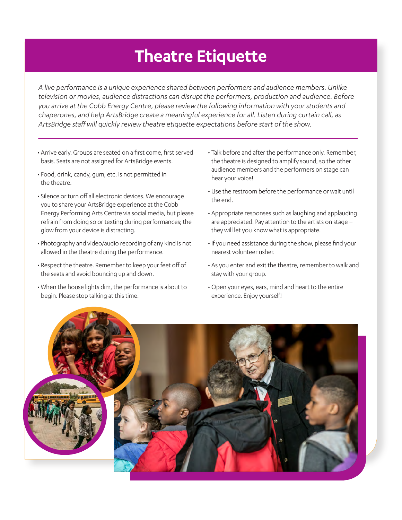## **Theatre Etiquette**

*A live performance is a unique experience shared between performers and audience members. Unlike television or movies, audience distractions can disrupt the performers, production and audience. Before you arrive at the Cobb Energy Centre, please review the following information with your students and chaperones, and help ArtsBridge create a meaningful experience for all. Listen during curtain call, as ArtsBridge staff will quickly review theatre etiquette expectations before start of the show.*

- Arrive early. Groups are seated on a first come, first served basis. Seats are not assigned for ArtsBridge events.
- Food, drink, candy, gum, etc. is not permitted in the theatre.
- Silence or turn off all electronic devices. We encourage you to share your ArtsBridge experience at the Cobb Energy Performing Arts Centre via social media, but please refrain from doing so or texting during performances; the glow from your device is distracting.
- Photography and video/audio recording of any kind is not allowed in the theatre during the performance.
- Respect the theatre. Remember to keep your feet off of the seats and avoid bouncing up and down.
- When the house lights dim, the performance is about to begin. Please stop talking at this time.
- Talk before and after the performance only. Remember, the theatre is designed to amplify sound, so the other audience members and the performers on stage can hear your voice!
- Use the restroom before the performance or wait until the end.
- Appropriate responses such as laughing and applauding are appreciated. Pay attention to the artists on stage – they will let you know what is appropriate.
- If you need assistance during the show, please find your nearest volunteer usher.
- As you enter and exit the theatre, remember to walk and stay with your group.
- Open your eyes, ears, mind and heart to the entire experience. Enjoy yourself!